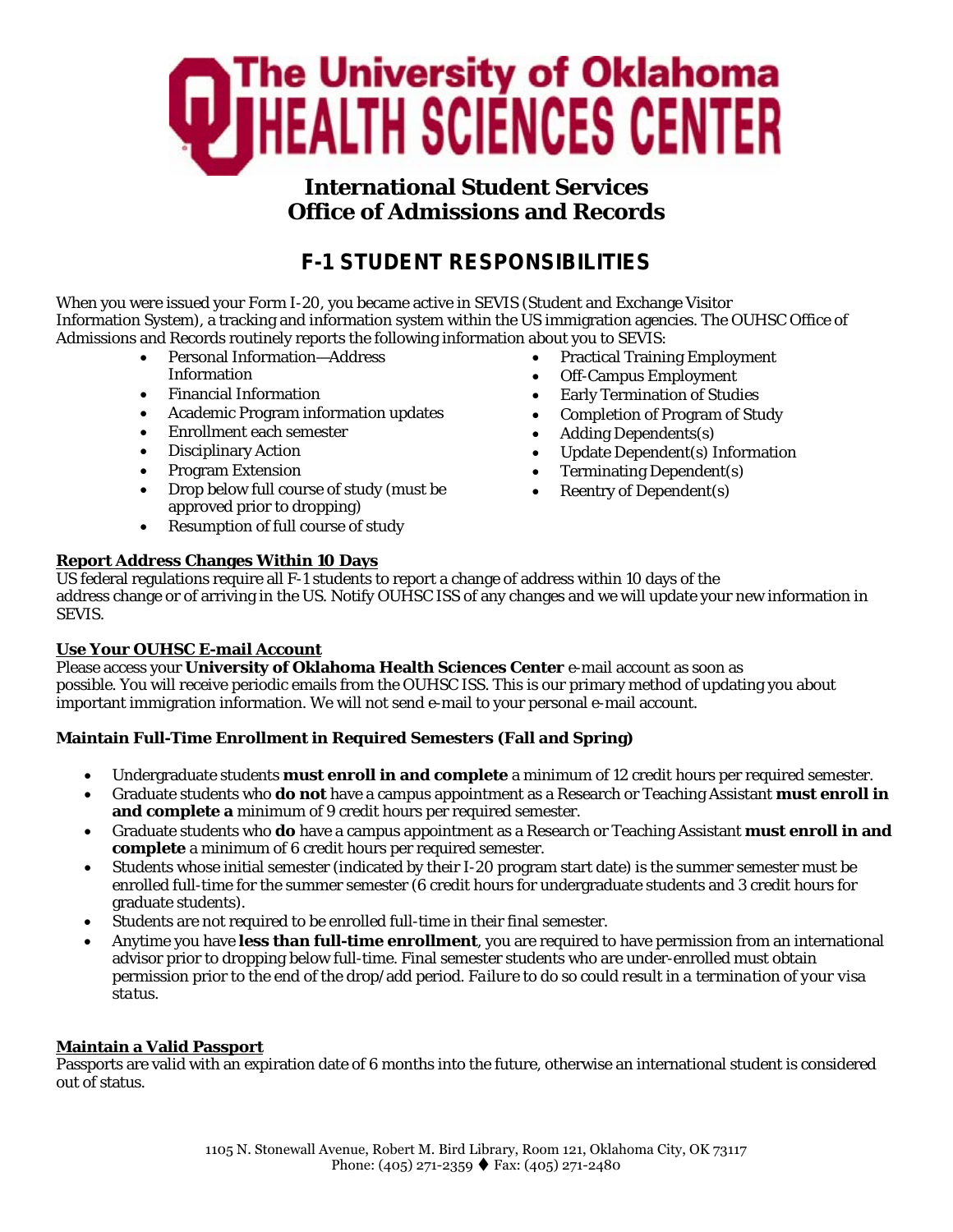

## **International Student Services Office of Admissions and Records**

# **F-1 STUDENT RESPONSIBILITIES**

When you were issued your Form I-20, you became active in SEVIS (Student and Exchange Visitor Information System), a tracking and information system within the US immigration agencies. The OUHSC Office of Admissions and Records routinely reports the following information about you to SEVIS:

- Personal Information—Address
- Information
- Financial Information
- Academic Program information updates
- Enrollment each semester
- Disciplinary Action
- Program Extension
- Drop below full course of study (must be approved prior to dropping)
- Resumption of full course of study

## **Report Address Changes Within 10 Days**

• Practical Training Employment

- Off-Campus Employment
- Early Termination of Studies
- Completion of Program of Study
- Adding Dependents(s)
- Update Dependent(s) Information
- Terminating Dependent(s)
- Reentry of Dependent(s)

US federal regulations require all F-1 students to report a change of address within 10 days of the address change or of arriving in the US. Notify OUHSC ISS of any changes and we will update your new information in SEVIS.

## **Use Your OUHSC E-mail Account**

Please access your **University of Oklahoma Health Sciences Center** e-mail account as soon as possible. You will receive periodic emails from the OUHSC ISS. This is our primary method of updating you about important immigration information. We will not send e-mail to your personal e-mail account.

## **Maintain Full-Time Enrollment in Required Semesters (Fall and Spring)**

- Undergraduate students **must enroll in and complete** a minimum of 12 credit hours per required semester.
- Graduate students who **do not** have a campus appointment as a Research or Teaching Assistant **must enroll in and complete a** minimum of 9 credit hours per required semester.
- Graduate students who **do** have a campus appointment as a Research or Teaching Assistant **must enroll in and complete** a minimum of 6 credit hours per required semester.
- Students whose initial semester (indicated by their I-20 program start date) is the summer semester must be enrolled full-time for the summer semester (6 credit hours for undergraduate students and 3 credit hours for graduate students).
- Students are not required to be enrolled full-time in their final semester.
- Anytime you have **less than full-time enrollment**, you are required to have permission from an international advisor prior to dropping below full-time. Final semester students who are under-enrolled must obtain permission prior to the end of the drop/add period. *Failure to do so could result in a termination of your visa status.*

## **Maintain a Valid Passport**

Passports are valid with an expiration date of 6 months into the future, otherwise an international student is considered out of status.